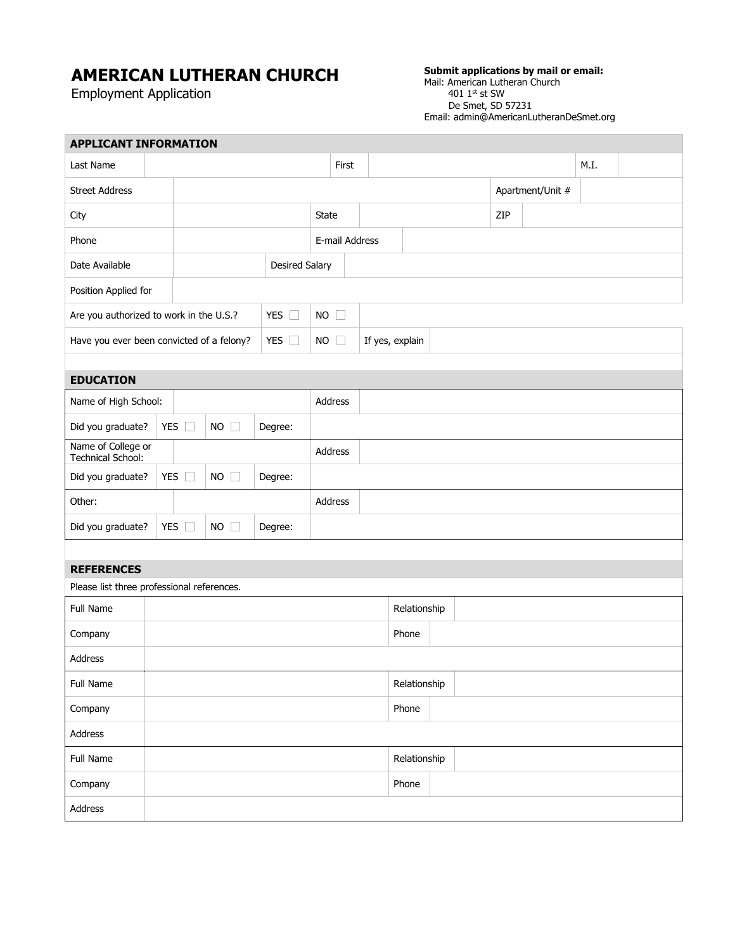## **AMERICAN LUTHERAN CHURCH**

Employment Application

## **Submit applications by mail or email:**

Mail: American Lutheran Church  $4011<sup>st</sup>$  st SW De Smet, SD 57231 Email: admin@AmericanLutheranDeSmet.org

| <b>APPLICANT INFORMATION</b>               |               |               |               |             |                 |  |              |  |                  |      |  |  |
|--------------------------------------------|---------------|---------------|---------------|-------------|-----------------|--|--------------|--|------------------|------|--|--|
| Last Name                                  |               |               |               |             | First           |  |              |  |                  | M.I. |  |  |
| <b>Street Address</b>                      |               |               |               |             |                 |  |              |  | Apartment/Unit # |      |  |  |
| City                                       |               |               |               |             | <b>State</b>    |  |              |  | ZIP              |      |  |  |
| Phone                                      |               |               |               |             | E-mail Address  |  |              |  |                  |      |  |  |
| Date Available<br><b>Desired Salary</b>    |               |               |               |             |                 |  |              |  |                  |      |  |  |
| Position Applied for                       |               |               |               |             |                 |  |              |  |                  |      |  |  |
| Are you authorized to work in the U.S.?    |               |               | YES $\square$ | $NO$ $\Box$ |                 |  |              |  |                  |      |  |  |
| Have you ever been convicted of a felony?  |               | YES $\square$ | $NO$ $\Box$   |             | If yes, explain |  |              |  |                  |      |  |  |
|                                            |               |               |               |             |                 |  |              |  |                  |      |  |  |
| <b>EDUCATION</b>                           |               |               |               |             |                 |  |              |  |                  |      |  |  |
| Name of High School:                       |               |               |               | Address     |                 |  |              |  |                  |      |  |  |
| Did you graduate?                          | YES $\square$ | $NO$ $\Box$   | Degree:       |             |                 |  |              |  |                  |      |  |  |
| Name of College or<br>Technical School:    |               |               |               |             | Address         |  |              |  |                  |      |  |  |
| Did you graduate?                          | YES $\square$ | $NO$ $\Box$   | Degree:       |             |                 |  |              |  |                  |      |  |  |
| Other:                                     |               |               | Address       |             |                 |  |              |  |                  |      |  |  |
| Did you graduate?                          | YES $\square$ | $NO$ $\Box$   | Degree:       |             |                 |  |              |  |                  |      |  |  |
|                                            |               |               |               |             |                 |  |              |  |                  |      |  |  |
| <b>REFERENCES</b>                          |               |               |               |             |                 |  |              |  |                  |      |  |  |
| Please list three professional references. |               |               |               |             |                 |  |              |  |                  |      |  |  |
| Full Name                                  |               |               |               |             |                 |  | Relationship |  |                  |      |  |  |
| Company                                    |               |               |               |             | Phone           |  |              |  |                  |      |  |  |
| Address                                    |               |               |               |             |                 |  |              |  |                  |      |  |  |
| Full Name                                  |               |               |               |             | Relationship    |  |              |  |                  |      |  |  |
| Company                                    |               |               |               |             |                 |  | Phone        |  |                  |      |  |  |
| Address                                    |               |               |               |             |                 |  |              |  |                  |      |  |  |
| Full Name                                  |               |               |               |             |                 |  | Relationship |  |                  |      |  |  |
| Company                                    |               |               |               |             |                 |  | Phone        |  |                  |      |  |  |
| Address                                    |               |               |               |             |                 |  |              |  |                  |      |  |  |